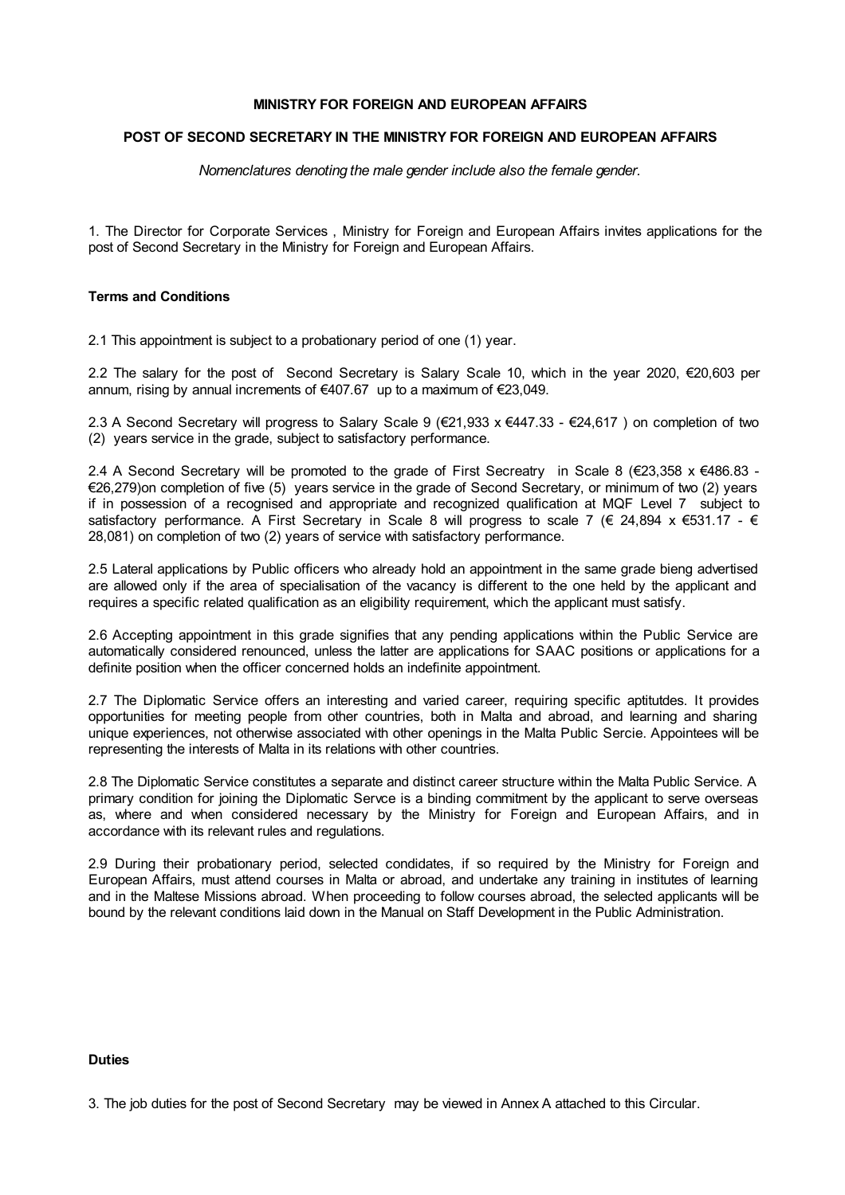### **MINISTRY FOR FOREIGN AND EUROPEAN AFFAIRS**

# **POST OF SECOND SECRETARY IN THE MINISTRY FOR FOREIGN AND EUROPEAN AFFAIRS**

*Nomenclatures denoting the male gender include also the female gender.*

1. The Director for Corporate Services , Ministry for Foreign and European Affairs invites applications for the post of Second Secretary in the Ministry for Foreign and European Affairs.

## **Terms and Conditions**

2.1 This appointment is subject to a probationary period of one (1) year.

2.2 The salary for the post of Second Secretary is Salary Scale 10, which in the year 2020, €20,603 per annum, rising by annual increments of  $\epsilon$ 407.67 up to a maximum of  $\epsilon$ 23,049.

2.3 A Second Secretary will progress to Salary Scale 9 (€21,933 x €447.33 - €24,617 ) on completion of two (2) years service in the grade, subject to satisfactory performance.

2.4 A Second Secretary will be promoted to the grade of First Secreatry in Scale 8 (€23,358 x €486.83 - €26,279)on completion of five (5) years service in the grade of Second Secretary, or minimum of two (2) years if in possession of a recognised and appropriate and recognized qualification at MQF Level 7 subject to satisfactory performance. A First Secretary in Scale 8 will progress to scale 7 ( $\in$  24,894 x  $\in$  531.17 -  $\in$ 28,081) on completion of two (2) years of service with satisfactory performance.

2.5 Lateral applications by Public officers who already hold an appointment in the same grade bieng advertised are allowed only if the area of specialisation of the vacancy is different to the one held by the applicant and requires a specific related qualification as an eligibility requirement, which the applicant must satisfy.

2.6 Accepting appointment in this grade signifies that any pending applications within the Public Service are automatically considered renounced, unless the latter are applications for SAAC positions or applications for a definite position when the officer concerned holds an indefinite appointment.

2.7 The Diplomatic Service offers an interesting and varied career, requiring specific aptitutdes. It provides opportunities for meeting people from other countries, both in Malta and abroad, and learning and sharing unique experiences, not otherwise associated with other openings in the Malta Public Sercie. Appointees will be representing the interests of Malta in its relations with other countries.

2.8 The Diplomatic Service constitutes a separate and distinct career structure within the Malta Public Service. A primary condition for joining the Diplomatic Servce is a binding commitment by the applicant to serve overseas as, where and when considered necessary by the Ministry for Foreign and European Affairs, and in accordance with its relevant rules and regulations.

2.9 During their probationary period, selected condidates, if so required by the Ministry for Foreign and European Affairs, must attend courses in Malta or abroad, and undertake any training in institutes of learning and in the Maltese Missions abroad. When proceeding to follow courses abroad, the selected applicants will be bound by the relevant conditions laid down in the Manual on Staff Development in the Public Administration.

#### **Duties**

<sup>3.</sup> The job duties for the post of Second Secretary may be viewed in Annex A attached to this Circular.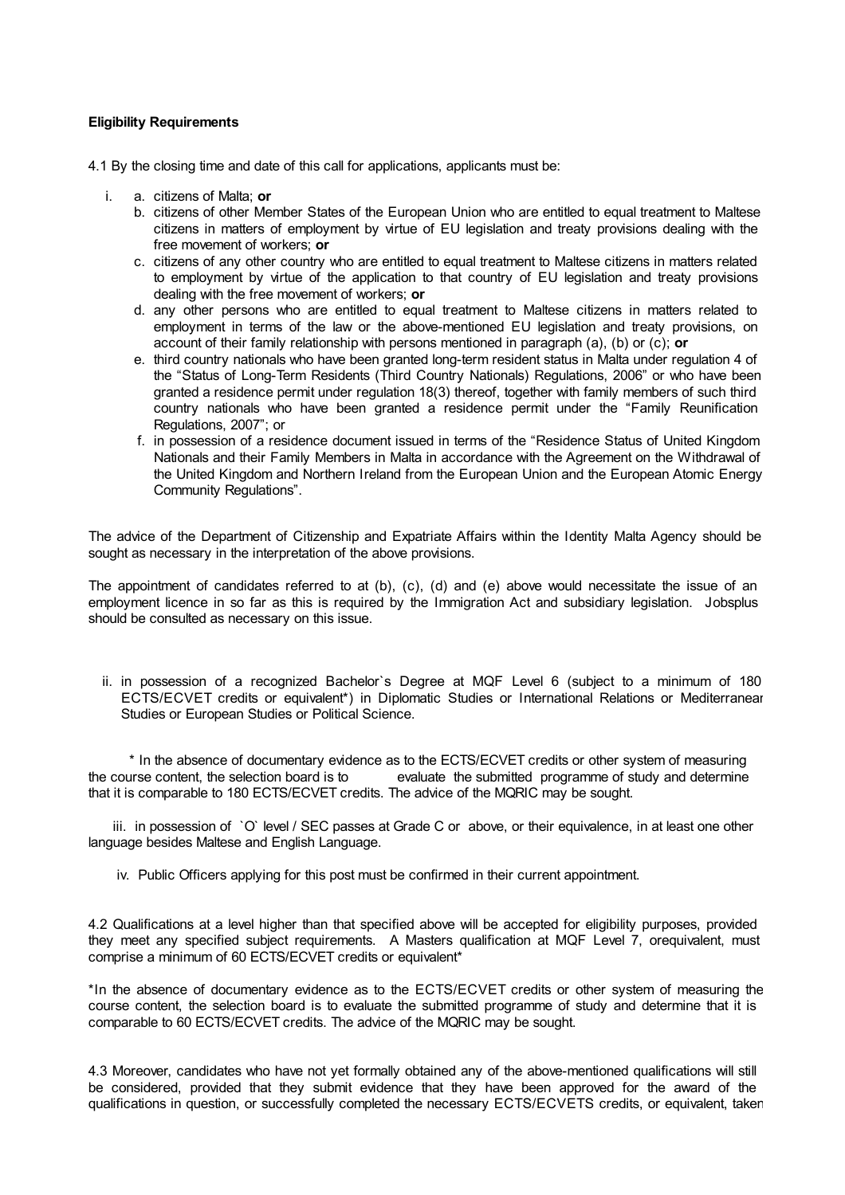#### **Eligibility Requirements**

- 4.1 By the closing time and date of this call for applications, applicants must be:
	- i. a. citizens of Malta; **or**
		- b. citizens of other Member States of the European Union who are entitled to equal treatment to Maltese citizens in matters of employment by virtue of EU legislation and treaty provisions dealing with the free movement of workers; **or**
		- c. citizens of any other country who are entitled to equal treatment to Maltese citizens in matters related to employment by virtue of the application to that country of EU legislation and treaty provisions dealing with the free movement of workers; **or**
		- d. any other persons who are entitled to equal treatment to Maltese citizens in matters related to employment in terms of the law or the above-mentioned EU legislation and treaty provisions, on account of their family relationship with persons mentioned in paragraph (a), (b) or (c); **or**
		- e. third country nationals who have been granted long-term resident status in Malta under regulation 4 of the "Status of Long-Term Residents (Third Country Nationals) Regulations, 2006" or who have been granted a residence permit under regulation 18(3) thereof, together with family members of such third country nationals who have been granted a residence permit under the "Family Reunification Regulations, 2007"; or
		- f. in possession of a residence document issued in terms of the "Residence Status of United Kingdom Nationals and their Family Members in Malta in accordance with the Agreement on the Withdrawal of the United Kingdom and Northern Ireland from the European Union and the European Atomic Energy Community Regulations".

The advice of the Department of Citizenship and Expatriate Affairs within the Identity Malta Agency should be sought as necessary in the interpretation of the above provisions.

The appointment of candidates referred to at (b), (c), (d) and (e) above would necessitate the issue of an employment licence in so far as this is required by the Immigration Act and subsidiary legislation. Jobsplus should be consulted as necessary on this issue.

ii. in possession of a recognized Bachelor`s Degree at MQF Level 6 (subject to a minimum of 180 ECTS/ECVET credits or equivalent\*) in Diplomatic Studies or International Relations or Mediterranean Studies or European Studies or Political Science.

\* In the absence of documentary evidence as to the ECTS/ECVET credits or other system of measuring the course content, the selection board is to evaluate the submitted programme of study and determine that it is comparable to 180 ECTS/ECVET credits. The advice of the MQRIC may be sought.

iii. in possession of `O` level / SEC passes at Grade C or above, or their equivalence, in at least one other language besides Maltese and English Language.

iv. Public Officers applying for this post must be confirmed in their current appointment.

4.2 Qualifications at a level higher than that specified above will be accepted for eligibility purposes, provided they meet any specified subject requirements. A Masters qualification at MQF Level 7, orequivalent, must comprise a minimum of 60 ECTS/ECVET credits or equivalent\*

\*In the absence of documentary evidence as to the ECTS/ECVET credits or other system of measuring the course content, the selection board is to evaluate the submitted programme of study and determine that it is comparable to 60 ECTS/ECVET credits. The advice of the MQRIC may be sought.

4.3 Moreover, candidates who have not yet formally obtained any of the above-mentioned qualifications will still be considered, provided that they submit evidence that they have been approved for the award of the qualifications in question, or successfully completed the necessary ECTS/ECVETS credits, or equivalent, taken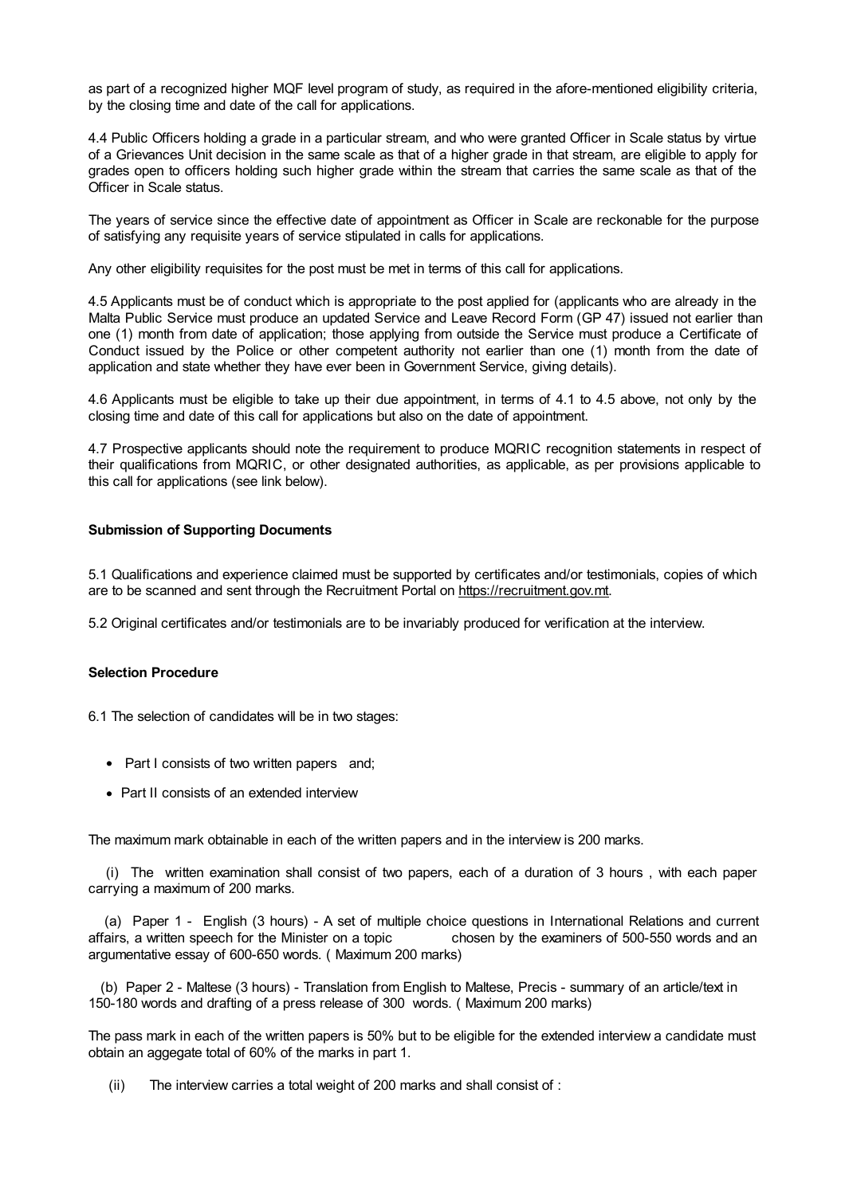as part of a recognized higher MQF level program of study, as required in the afore-mentioned eligibility criteria, by the closing time and date of the call for applications.

4.4 Public Officers holding a grade in a particular stream, and who were granted Officer in Scale status by virtue of a Grievances Unit decision in the same scale as that of a higher grade in that stream, are eligible to apply for grades open to officers holding such higher grade within the stream that carries the same scale as that of the Officer in Scale status.

The years of service since the effective date of appointment as Officer in Scale are reckonable for the purpose of satisfying any requisite years of service stipulated in calls for applications.

Any other eligibility requisites for the post must be met in terms of this call for applications.

4.5 Applicants must be of conduct which is appropriate to the post applied for (applicants who are already in the Malta Public Service must produce an updated Service and Leave Record Form (GP 47) issued not earlier than one (1) month from date of application; those applying from outside the Service must produce a Certificate of Conduct issued by the Police or other competent authority not earlier than one (1) month from the date of application and state whether they have ever been in Government Service, giving details).

4.6 Applicants must be eligible to take up their due appointment, in terms of 4.1 to 4.5 above, not only by the closing time and date of this call for applications but also on the date of appointment.

4.7 Prospective applicants should note the requirement to produce MQRIC recognition statements in respect of their qualifications from MQRIC, or other designated authorities, as applicable, as per provisions applicable to this call for applications (see link below).

### **Submission of Supporting Documents**

5.1 Qualifications and experience claimed must be supported by certificates and/or testimonials, copies of which are to be scanned and sent through the Recruitment Portal on <https://recruitment.gov.mt>.

5.2 Original certificates and/or testimonials are to be invariably produced for verification at the interview.

### **Selection Procedure**

6.1 The selection of candidates will be in two stages:

- Part I consists of two written papers and;
- Part II consists of an extended interview

The maximum mark obtainable in each of the written papers and in the interview is 200 marks.

(i) The written examination shall consist of two papers, each of a duration of 3 hours , with each paper carrying a maximum of 200 marks.

(a) Paper 1 - English (3 hours) - A set of multiple choice questions in International Relations and current affairs, a written speech for the Minister on a topic chosen by the examiners of 500-550 words and an argumentative essay of 600-650 words. ( Maximum 200 marks)

(b) Paper 2 - Maltese (3 hours) - Translation from English to Maltese, Precis - summary of an article/text in 150-180 words and drafting of a press release of 300 words. ( Maximum 200 marks)

The pass mark in each of the written papers is 50% but to be eligible for the extended interview a candidate must obtain an aggegate total of 60% of the marks in part 1.

(ii) The interview carries a total weight of 200 marks and shall consist of :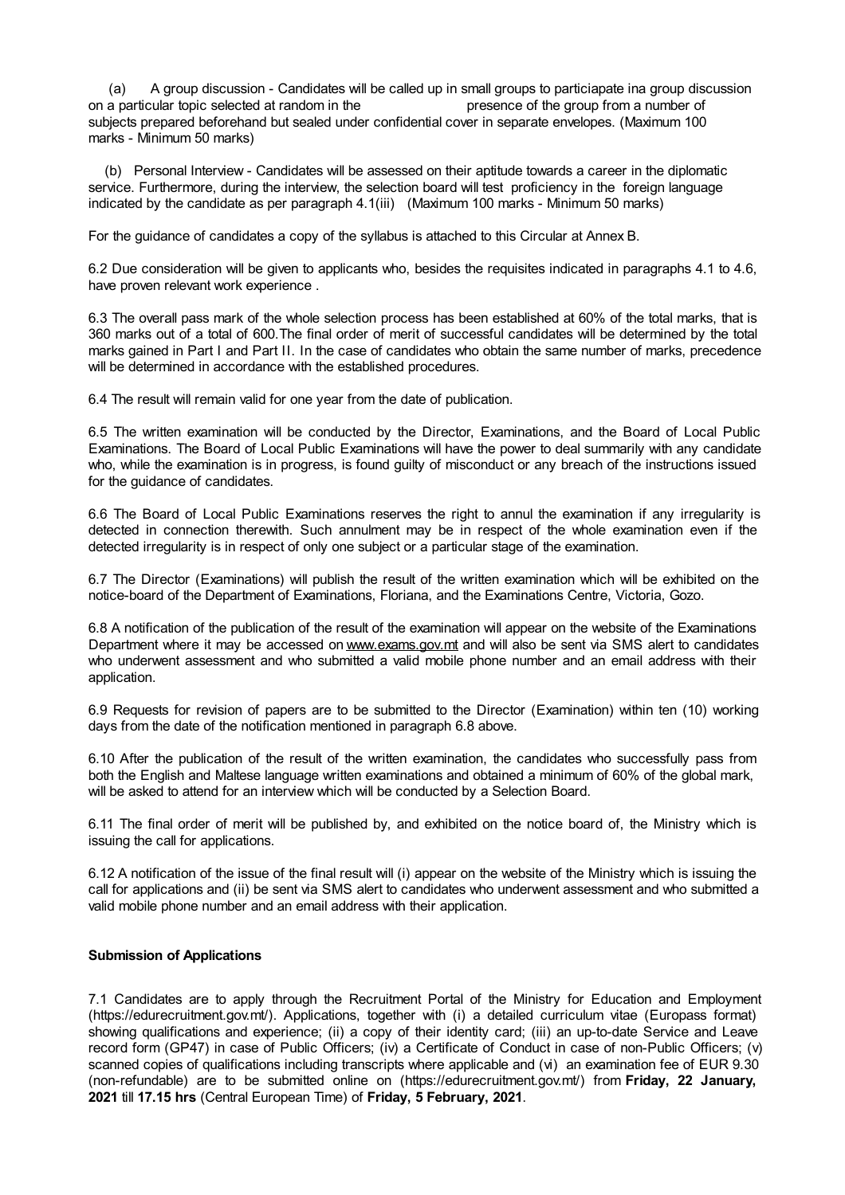(a) A group discussion - Candidates will be called up in small groups to particiapate ina group discussion on a particular topic selected at random in the presence of the group from a number of subjects prepared beforehand but sealed under confidential cover in separate envelopes. (Maximum 100 marks - Minimum 50 marks)

(b) Personal Interview - Candidates will be assessed on their aptitude towards a career in the diplomatic service. Furthermore, during the interview, the selection board will test proficiency in the foreign language indicated by the candidate as per paragraph 4.1(iii) (Maximum 100 marks - Minimum 50 marks)

For the guidance of candidates a copy of the syllabus is attached to this Circular at Annex B.

6.2 Due consideration will be given to applicants who, besides the requisites indicated in paragraphs 4.1 to 4.6, have proven relevant work experience .

6.3 The overall pass mark of the whole selection process has been established at 60% of the total marks, that is 360 marks out of a total of 600.The final order of merit of successful candidates will be determined by the total marks gained in Part I and Part II. In the case of candidates who obtain the same number of marks, precedence will be determined in accordance with the established procedures.

6.4 The result will remain valid for one year from the date of publication.

6.5 The written examination will be conducted by the Director, Examinations, and the Board of Local Public Examinations. The Board of Local Public Examinations will have the power to deal summarily with any candidate who, while the examination is in progress, is found guilty of misconduct or any breach of the instructions issued for the guidance of candidates.

6.6 The Board of Local Public Examinations reserves the right to annul the examination if any irregularity is detected in connection therewith. Such annulment may be in respect of the whole examination even if the detected irregularity is in respect of only one subject or a particular stage of the examination.

6.7 The Director (Examinations) will publish the result of the written examination which will be exhibited on the notice-board of the Department of Examinations, Floriana, and the Examinations Centre, Victoria, Gozo.

6.8 A notification of the publication of the result of the examination will appear on the website of the Examinations Department where it may be accessed on [www.exams.gov.mt](https://www.exams.gov.mt) and will also be sent via SMS alert to candidates who underwent assessment and who submitted a valid mobile phone number and an email address with their application.

6.9 Requests for revision of papers are to be submitted to the Director (Examination) within ten (10) working days from the date of the notification mentioned in paragraph 6.8 above.

6.10 After the publication of the result of the written examination, the candidates who successfully pass from both the English and Maltese language written examinations and obtained a minimum of 60% of the global mark, will be asked to attend for an interview which will be conducted by a Selection Board.

6.11 The final order of merit will be published by, and exhibited on the notice board of, the Ministry which is issuing the call for applications.

6.12 A notification of the issue of the final result will (i) appear on the website of the Ministry which is issuing the call for applications and (ii) be sent via SMS alert to candidates who underwent assessment and who submitted a valid mobile phone number and an email address with their application.

### **Submission of Applications**

7.1 Candidates are to apply through the Recruitment Portal of the Ministry for Education and Employment (https://edurecruitment.gov.mt/). Applications, together with (i) a detailed curriculum vitae (Europass format) showing qualifications and experience; (ii) a copy of their identity card; (iii) an up-to-date Service and Leave record form (GP47) in case of Public Officers; (iv) a Certificate of Conduct in case of non-Public Officers; (v) scanned copies of qualifications including transcripts where applicable and (vi) an examination fee of EUR 9.30 (non-refundable) are to be submitted online on (https://edurecruitment.gov.mt/) from **Friday, 22 January, 2021** till **17.15 hrs** (Central European Time) of **Friday, 5 February, 2021**.